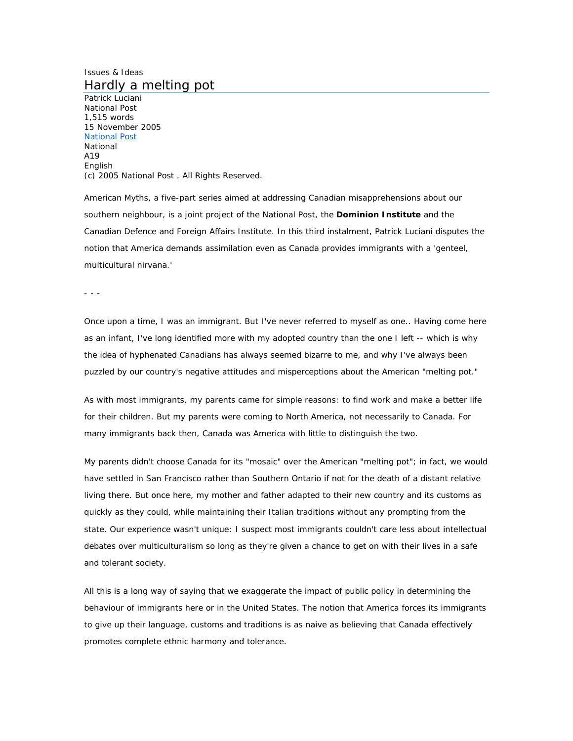## Issues & Ideas Hardly a melting pot

Patrick Luciani National Post 1,515 words 15 November 2005 National Post National A19 English (c) 2005 National Post . All Rights Reserved.

American Myths, a five-part series aimed at addressing Canadian misapprehensions about our southern neighbour, is a joint project of the National Post, the **Dominion Institute** and the Canadian Defence and Foreign Affairs Institute. In this third instalment, Patrick Luciani disputes the notion that America demands assimilation even as Canada provides immigrants with a 'genteel, multicultural nirvana.'

- - -

Once upon a time, I was an immigrant. But I've never referred to myself as one.. Having come here as an infant, I've long identified more with my adopted country than the one I left -- which is why the idea of hyphenated Canadians has always seemed bizarre to me, and why I've always been puzzled by our country's negative attitudes and misperceptions about the American "melting pot."

As with most immigrants, my parents came for simple reasons: to find work and make a better life for their children. But my parents were coming to North America, not necessarily to Canada. For many immigrants back then, Canada was America with little to distinguish the two.

My parents didn't choose Canada for its "mosaic" over the American "melting pot"; in fact, we would have settled in San Francisco rather than Southern Ontario if not for the death of a distant relative living there. But once here, my mother and father adapted to their new country and its customs as quickly as they could, while maintaining their Italian traditions without any prompting from the state. Our experience wasn't unique: I suspect most immigrants couldn't care less about intellectual debates over multiculturalism so long as they're given a chance to get on with their lives in a safe and tolerant society.

All this is a long way of saying that we exaggerate the impact of public policy in determining the behaviour of immigrants here or in the United States. The notion that America forces its immigrants to give up their language, customs and traditions is as naive as believing that Canada effectively promotes complete ethnic harmony and tolerance.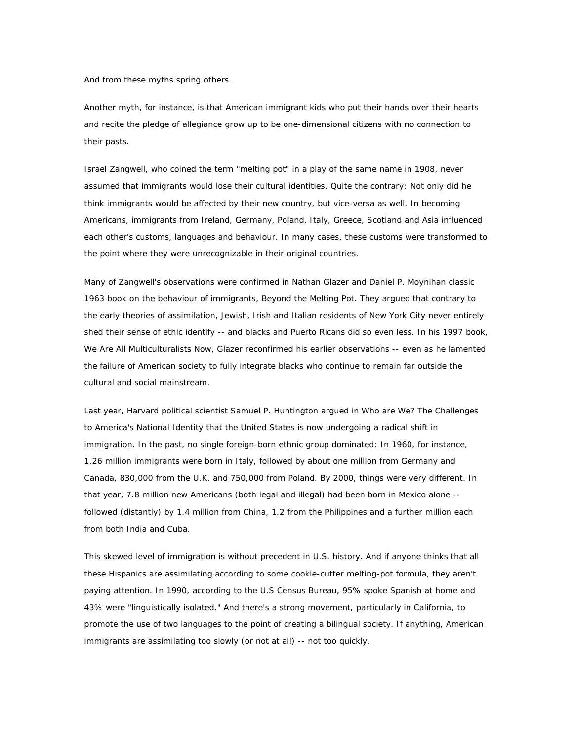And from these myths spring others.

Another myth, for instance, is that American immigrant kids who put their hands over their hearts and recite the pledge of allegiance grow up to be one-dimensional citizens with no connection to their pasts.

Israel Zangwell, who coined the term "melting pot" in a play of the same name in 1908, never assumed that immigrants would lose their cultural identities. Quite the contrary: Not only did he think immigrants would be affected by their new country, but vice-versa as well. In becoming Americans, immigrants from Ireland, Germany, Poland, Italy, Greece, Scotland and Asia influenced each other's customs, languages and behaviour. In many cases, these customs were transformed to the point where they were unrecognizable in their original countries.

Many of Zangwell's observations were confirmed in Nathan Glazer and Daniel P. Moynihan classic 1963 book on the behaviour of immigrants, Beyond the Melting Pot. They argued that contrary to the early theories of assimilation, Jewish, Irish and Italian residents of New York City never entirely shed their sense of ethic identify -- and blacks and Puerto Ricans did so even less. In his 1997 book, We Are All Multiculturalists Now, Glazer reconfirmed his earlier observations -- even as he lamented the failure of American society to fully integrate blacks who continue to remain far outside the cultural and social mainstream.

Last year, Harvard political scientist Samuel P. Huntington argued in Who are We? The Challenges to America's National Identity that the United States is now undergoing a radical shift in immigration. In the past, no single foreign-born ethnic group dominated: In 1960, for instance, 1.26 million immigrants were born in Italy, followed by about one million from Germany and Canada, 830,000 from the U.K. and 750,000 from Poland. By 2000, things were very different. In that year, 7.8 million new Americans (both legal and illegal) had been born in Mexico alone - followed (distantly) by 1.4 million from China, 1.2 from the Philippines and a further million each from both India and Cuba.

This skewed level of immigration is without precedent in U.S. history. And if anyone thinks that all these Hispanics are assimilating according to some cookie-cutter melting-pot formula, they aren't paying attention. In 1990, according to the U.S Census Bureau, 95% spoke Spanish at home and 43% were "linguistically isolated." And there's a strong movement, particularly in California, to promote the use of two languages to the point of creating a bilingual society. If anything, American immigrants are assimilating too slowly (or not at all) -- not too quickly.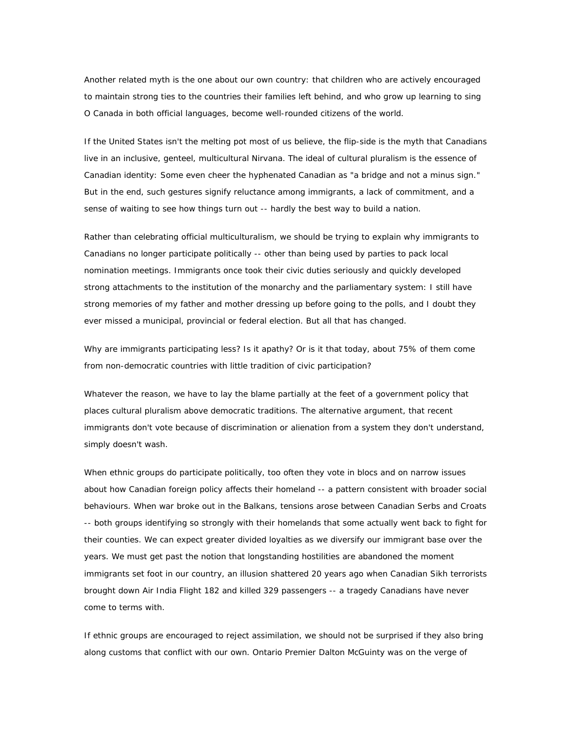Another related myth is the one about our own country: that children who are actively encouraged to maintain strong ties to the countries their families left behind, and who grow up learning to sing O Canada in both official languages, become well-rounded citizens of the world.

If the United States isn't the melting pot most of us believe, the flip-side is the myth that Canadians live in an inclusive, genteel, multicultural Nirvana. The ideal of cultural pluralism is the essence of Canadian identity: Some even cheer the hyphenated Canadian as "a bridge and not a minus sign." But in the end, such gestures signify reluctance among immigrants, a lack of commitment, and a sense of waiting to see how things turn out -- hardly the best way to build a nation.

Rather than celebrating official multiculturalism, we should be trying to explain why immigrants to Canadians no longer participate politically -- other than being used by parties to pack local nomination meetings. Immigrants once took their civic duties seriously and quickly developed strong attachments to the institution of the monarchy and the parliamentary system: I still have strong memories of my father and mother dressing up before going to the polls, and I doubt they ever missed a municipal, provincial or federal election. But all that has changed.

Why are immigrants participating less? Is it apathy? Or is it that today, about 75% of them come from non-democratic countries with little tradition of civic participation?

Whatever the reason, we have to lay the blame partially at the feet of a government policy that places cultural pluralism above democratic traditions. The alternative argument, that recent immigrants don't vote because of discrimination or alienation from a system they don't understand, simply doesn't wash.

When ethnic groups do participate politically, too often they vote in blocs and on narrow issues about how Canadian foreign policy affects their homeland -- a pattern consistent with broader social behaviours. When war broke out in the Balkans, tensions arose between Canadian Serbs and Croats -- both groups identifying so strongly with their homelands that some actually went back to fight for their counties. We can expect greater divided loyalties as we diversify our immigrant base over the years. We must get past the notion that longstanding hostilities are abandoned the moment immigrants set foot in our country, an illusion shattered 20 years ago when Canadian Sikh terrorists brought down Air India Flight 182 and killed 329 passengers -- a tragedy Canadians have never come to terms with.

If ethnic groups are encouraged to reject assimilation, we should not be surprised if they also bring along customs that conflict with our own. Ontario Premier Dalton McGuinty was on the verge of